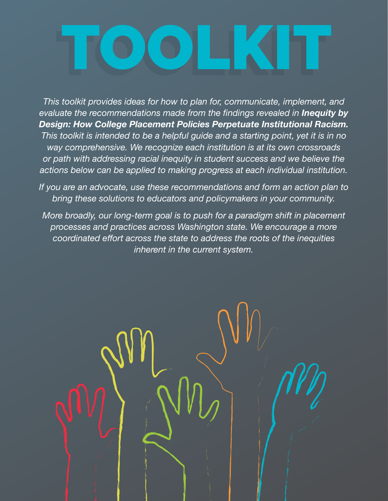# TOOLKIT

*This toolkit provides ideas for how to plan for, communicate, implement, and evaluate the recommendations made from the findings revealed in Inequity by Design: How College Placement Policies Perpetuate Institutional Racism. This toolkit is intended to be a helpful guide and a starting point, yet it is in no way comprehensive. We recognize each institution is at its own crossroads or path with addressing racial inequity in student success and we believe the actions below can be applied to making progress at each individual institution.*

*If you are an advocate, use these recommendations and form an action plan to bring these solutions to educators and policymakers in your community.*

*More broadly, our long-term goal is to push for a paradigm shift in placement processes and practices across Washington state. We encourage a more coordinated effort across the state to address the roots of the inequities inherent in the current system.*

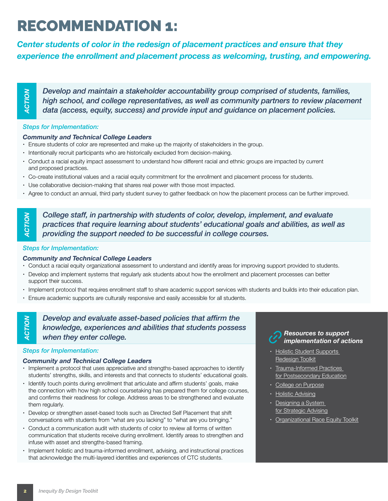## RECOMMENDATION 1:

*Center students of color in the redesign of placement practices and ensure that they experience the enrollment and placement process as welcoming, trusting, and empowering.*

*Develop and maintain a stakeholder accountability group comprised of students, families, high school, and college representatives, as well as community partners to review placement data (access, equity, success) and provide input and guidance on placement policies.*

#### *Steps for Implementation:*

#### *Community and Technical College Leaders*

- Ensure students of color are represented and make up the majority of stakeholders in the group.
- Intentionally recruit participants who are historically excluded from decision-making.
- Conduct a racial equity impact assessment to understand how different racial and ethnic groups are impacted by current and proposed practices.
- Co-create institutional values and a racial equity commitment for the enrollment and placement process for students.
- Use collaborative decision-making that shares real power with those most impacted.
- Agree to conduct an annual, third party student survey to gather feedback on how the placement process can be further improved.

*College staff, in partnership with students of color, develop, implement, and evaluate practices that require learning about students' educational goals and abilities, as well as providing the support needed to be successful in college courses.* **Example and maintain a stakeholder accountability group complement and particular supports are culturally recultured in the distributions of Community and Technical College Leaders<br>
<b>Examplementation:**<br> **ACTION ACTION**

#### *Steps for Implementation:*

#### *Community and Technical College Leaders*

- Conduct a racial equity organizational assessment to understand and identify areas for improving support provided to students.
- Develop and implement systems that regularly ask students about how the enrollment and placement processes can better support their success.
- Implement protocol that requires enrollment staff to share academic support services with students and builds into their education plan.
- 

*ACTION***ACTION** 

*Develop and evaluate asset-based policies that affirm the knowledge, experiences and abilities that students possess when they enter college.*

#### *Steps for Implementation:*

#### *Community and Technical College Leaders*

- Implement a protocol that uses appreciative and strengths-based approaches to identify students' strengths, skills, and interests and that connects to students' educational goals.
- Identify touch points during enrollment that articulate and affirm students' goals, make the connection with how high school coursetaking has prepared them for college courses, and confirms their readiness for college. Address areas to be strengthened and evaluate them regularly.
- Develop or strengthen asset-based tools such as Directed Self Placement that shift conversations with students from "what are you lacking" to "what are you bringing."
- Conduct a communication audit with students of color to review all forms of written communication that students receive during enrollment. Identify areas to strengthen and infuse with asset and strengths-based framing.
- Implement holistic and trauma-informed enrollment, advising, and instructional practices that acknowledge the multi-layered identities and experiences of CTC students.



- Holistic Student Supports [Redesign Toolkit](https://www.achievingthedream.org/sites/default/files/resources/atd_hss_redesign_toolkit_2018.pdf)
- Trauma-Informed Practices [for Postsecondary Education](https://www.nationalacademies.org/event/03-11-2020/docs/D2986DF51F2C3205DB3FA1ADEEC9CFBE4DC9402B8BF5)
- [College on Purpose](https://completecollege.org/purposefirst/)
- [Holistic Advising](https://nacada.ksu.edu/Resources/Academic-Advising-Today/View-Articles/Holistic-Advising.aspx#:~:text=When%20the%20word%20holistic%20is,heavily%20on%20their%20academic%20success.)
- Designing a System [for Strategic Advising](https://ccrc.tc.columbia.edu/media/k2/attachments/designing-a-system-for-strategic-advising.pdf)
- [Organizational Race Equity Toolkit](https://justleadwa.org/wp-content/uploads/2019/08/REJI-Organizational-Toolkit_Full-1.pdf)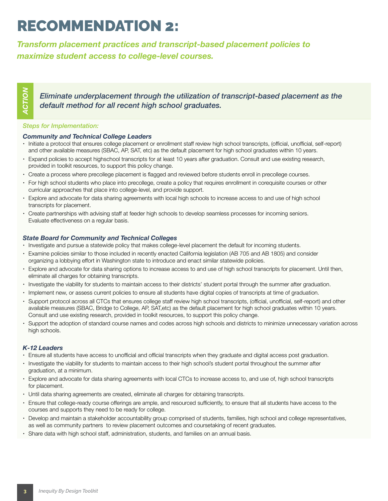## RECOMMENDATION 2:

*Transform placement practices and transcript-based placement policies to maximize student access to college-level courses.*

*Eliminate underplacement through the utilization of transcript-based placement as the default method for all recent high school graduates.*

#### *Steps for Implementation:*

#### *Community and Technical College Leaders*

- Initiate a protocol that ensures college placement or enrollment staff review high school transcripts, (official, unofficial, self-report) and other available measures (SBAC, AP, SAT, etc) as the default placement for high school graduates within 10 years.
- Expand policies to accept highschool transcripts for at least 10 years after graduation. Consult and use existing research, provided in toolkit resources, to support this policy change.
- Create a process where precollege placement is flagged and reviewed before students enroll in precollege courses.
- For high school students who place into precollege, create a policy that requires enrollment in corequisite courses or other curricular approaches that place into college-level, and provide support.
- Explore and advocate for data sharing agreements with local high schools to increase access to and use of high school transcripts for placement.
- Create partnerships with advising staff at feeder high schools to develop seamless processes for incoming seniors. Evaluate effectiveness on a regular basis.

#### *State Board for Community and Technical Colleges*

- Investigate and pursue a statewide policy that makes college-level placement the default for incoming students.
- Examine policies similar to those included in recently enacted California legislation (AB 705 and AB 1805) and consider organizing a lobbying effort in Washington state to introduce and enact similar statewide policies.
- Explore and advocate for data sharing options to increase access to and use of high school transcripts for placement. Until then, eliminate all charges for obtaining transcripts.
- Investigate the viability for students to maintain access to their districts' student portal through the summer after graduation.
- Implement new, or assess current policies to ensure all students have digital copies of transcripts at time of graduation.
- Support protocol across all CTCs that ensures college staff review high school transcripts, (official, unofficial, self-report) and other available measures (SBAC, Bridge to College, AP, SAT,etc) as the default placement for high school graduates within 10 years. Consult and use existing research, provided in toolkit resources, to support this policy change. **Etiminate underplacement through the utilization of transcripted and the matter of the community and Technical College Leaders.**<br>
Steps for implementation:<br>
Community and Technical College Leaders<br>
In histes a probod the
- Support the adoption of standard course names and codes across high schools and districts to minimize unnecessary variation across high schools.

#### *K-12 Leaders*

- Ensure all students have access to unofficial and official transcripts when they graduate and digital access post graduation.
- Investigate the viability for students to maintain access to their high school's student portal throughout the summer after graduation, at a minimum.
- Explore and advocate for data sharing agreements with local CTCs to increase access to, and use of, high school transcripts for placement.
- Until data sharing agreements are created, eliminate all charges for obtaining transcripts.
- Ensure that college-ready course offerings are ample, and resourced sufficiently, to ensure that all students have access to the courses and supports they need to be ready for college.
- Develop and maintain a stakeholder accountability group comprised of students, families, high school and college representatives, as well as community partners to review placement outcomes and coursetaking of recent graduates.
-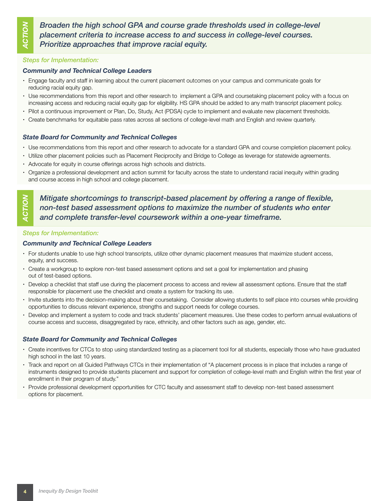*ACTION*CTION

*Broaden the high school GPA and course grade thresholds used in college-level placement criteria to increase access to and success in college-level courses. Prioritize approaches that improve racial equity.*

#### *Steps for Implementation:*

#### *Community and Technical College Leaders*

- Engage faculty and staff in learning about the current placement outcomes on your campus and communicate goals for reducing racial equity gap.
- Use recommendations from this report and other research to implement a GPA and coursetaking placement policy with a focus on increasing access and reducing racial equity gap for eligibility. HS GPA should be added to any math transcript placement policy.
- Pilot a continuous improvement or Plan, Do, Study, Act (PDSA) cycle to implement and evaluate new placement thresholds.
- Create benchmarks for equitable pass rates across all sections of college-level math and English and review quarterly.

#### *State Board for Community and Technical Colleges*

- Use recommendations from this report and other research to advocate for a standard GPA and course completion placement policy.
- Utilize other placement policies such as Placement Reciprocity and Bridge to College as leverage for statewide agreements.
- Advocate for equity in course offerings across high schools and districts.
- Organize a professional development and action summit for faculty across the state to understand racial inequity within grading and course access in high school and college placement.

*Mitigate shortcomings to transcript-based placement by offering a range of flexible, non-test based assessment options to maximize the number of students who enter and complete transfer-level coursework within a one-year timeframe.*

#### *Steps for Implementation:*

#### *Community and Technical College Leaders*

- For students unable to use high school transcripts, utilize other dynamic placement measures that maximize student access, equity, and success.
- Create a workgroup to explore non-test based assessment options and set a goal for implementation and phasing out of test-based options.
- Develop a checklist that staff use during the placement process to access and review all assessment options. Ensure that the staff responsible for placement use the checklist and create a system for tracking its use.
- Invite students into the decision-making about their coursetaking. Consider allowing students to self place into courses while providing opportunities to discuss relevant experience, strengths and support needs for college courses.
- Develop and implement a system to code and track students' placement measures. Use these codes to perform annual evaluations of course access and success, disaggregated by race, ethnicity, and other factors such as age, gender, etc.

#### *State Board for Community and Technical Colleges*

- Create incentives for CTCs to stop using standardized testing as a placement tool for all students, especially those who have graduated high school in the last 10 years.
- Track and report on all Guided Pathways CTCs in their implementation of "A placement process is in place that includes a range of instruments designed to provide students placement and support for completion of college-level math and English within the first year of enrollment in their program of study."
- Provide professional development opportunities for CTC faculty and assessment staff to develop non-test based assessment options for placement.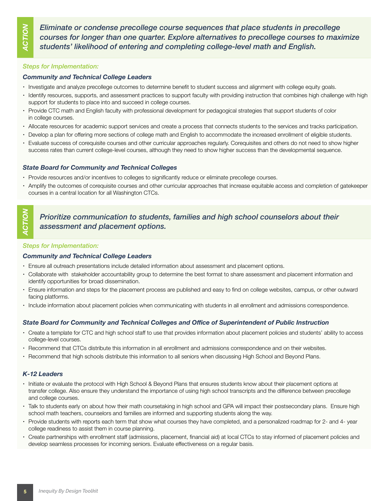$\mathsf{S}$ *ACTION*5 *Eliminate or condense precollege course sequences that place students in precollege courses for longer than one quarter. Explore alternatives to precollege courses to maximize students' likelihood of entering and completing college-level math and English.*

#### *Steps for Implementation:*

#### *Community and Technical College Leaders*

- Investigate and analyze precollege outcomes to determine benefit to student success and alignment with college equity goals.
- Identify resources, supports, and assessment practices to support faculty with providing instruction that combines high challenge with high support for students to place into and succeed in college courses.
- Provide CTC math and English faculty with professional development for pedagogical strategies that support students of color in college courses.
- Allocate resources for academic support services and create a process that connects students to the services and tracks participation.
- Develop a plan for offering more sections of college math and English to accommodate the increased enrollment of eligible students.
- Evaluate success of corequisite courses and other curricular approaches regularly. Corequisites and others do not need to show higher success rates than current college-level courses, although they need to show higher success than the developmental sequence.

#### *State Board for Community and Technical Colleges*

- Provide resources and/or incentives to colleges to significantly reduce or eliminate precollege courses.
- Amplify the outcomes of corequisite courses and other curricular approaches that increase equitable access and completion of gatekeeper courses in a central location for all Washington CTCs.

#### *Prioritize communication to students, families and high school counselors about their assessment and placement options.*

#### *Steps for Implementation:*

#### *Community and Technical College Leaders*

- Ensure all outreach presentations include detailed information about assessment and placement options.
- Collaborate with stakeholder accountability group to determine the best format to share assessment and placement information and identify opportunities for broad dissemination.
- Ensure information and steps for the placement process are published and easy to find on college websites, campus, or other outward facing platforms.
- Include information about placement policies when communicating with students in all enrollment and admissions correspondence.

#### *State Board for Community and Technical Colleges and Office of Superintendent of Public Instruction*

- Create a template for CTC and high school staff to use that provides information about placement policies and students' ability to access college-level courses.
- Recommend that CTCs distribute this information in all enrollment and admissions correspondence and on their websites.
- Recommend that high schools distribute this information to all seniors when discussing High School and Beyond Plans.

#### *K-12 Leaders*

- Initiate or evaluate the protocol with High School & Beyond Plans that ensures students know about their placement options at transfer college. Also ensure they understand the importance of using high school transcripts and the difference between precollege and college courses.
- Talk to students early on about how their math coursetaking in high school and GPA will impact their postsecondary plans. Ensure high school math teachers, counselors and families are informed and supporting students along the way.
- Provide students with reports each term that show what courses they have completed, and a personalized roadmap for 2- and 4- year college readiness to assist them in course planning.
- Create partnerships with enrollment staff (admissions, placement, financial aid) at local CTCs to stay informed of placement policies and develop seamless processes for incoming seniors. Evaluate effectiveness on a regular basis.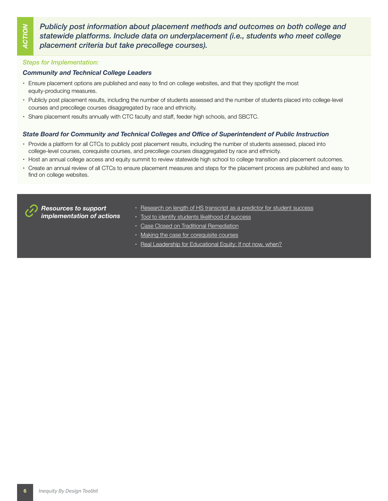*Publicly post information about placement methods and outcomes on both college and statewide platforms. Include data on underplacement (i.e., students who meet college placement criteria but take precollege courses).*

#### *Steps for Implementation:*

#### *Community and Technical College Leaders*

- Ensure placement options are published and easy to find on college websites, and that they spotlight the most equity-producing measures.
- Publicly post placement results, including the number of students assessed and the number of students placed into college-level courses and precollege courses disaggregated by race and ethnicity.
- Share placement results annually with CTC faculty and staff, feeder high schools, and SBCTC.

#### *State Board for Community and Technical Colleges and Office of Superintendent of Public Instruction*

- Provide a platform for all CTCs to publicly post placement results, including the number of students assessed, placed into college-level courses, corequisite courses, and precollege courses disaggregated by race and ethnicity.
- Host an annual college access and equity summit to review statewide high school to college transition and placement outcomes.
- Create an annual review of all CTCs to ensure placement measures and steps for the placement process are published and easy to find on college websites.



*Resources to support implementation of actions*

- [Research on length of HS transcript as a predictor for student success](https://rpgroup.org/Portals/0/Documents/Projects/MultipleMeasures/AB705_Workshops/DecayFunctionOfPredictiveValidity_Final.pdf?ver=2021-01-14-094758-067)
- [Tool to identify students likelihood of success](https://accelerationproject.org/Portals/0/Documents/MMAPInfographicWebVersion.pdf?ver=2018-08-16-103846-807)
- [Case Closed on Traditional Remediation](https://www.cvent.com/pub/eMarketing/Pages/WebEmail_New.aspx?emstub=07846505-b082-48b1-88c2-a96ae21917ac)
- [Making the case for corequisite courses](https://accelerationproject.org/Portals/0/Documents/8_17_18_CAP%20Math%20Coreq%20Models%20Lessons%20Learned.pdf?ver=2018-08-18-000039-113)
- [Real Leadership for Educational Equity: If not now, when?](https://kappanonline.org/leadership-educational-equity-now-starr/)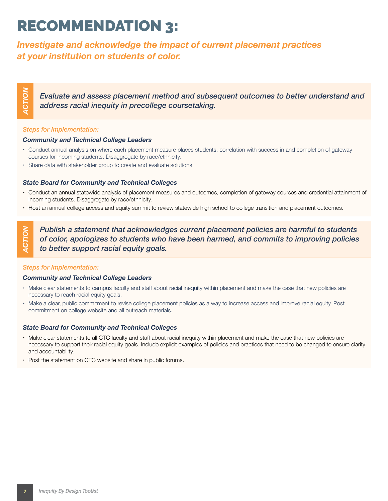## RECOMMENDATION 3:

*Investigate and acknowledge the impact of current placement practices at your institution on students of color.*

*Evaluate and assess placement method and subsequent outcomes to better understand and address racial inequity in precollege coursetaking.*

#### *Steps for Implementation:*

#### *Community and Technical College Leaders*

- Conduct annual analysis on where each placement measure places students, correlation with success in and completion of gateway courses for incoming students. Disaggregate by race/ethnicity.
- Share data with stakeholder group to create and evaluate solutions.

#### *State Board for Community and Technical Colleges*

- Conduct an annual statewide analysis of placement measures and outcomes, completion of gateway courses and credential attainment of incoming students. Disaggregate by race/ethnicity.
- Host an annual college access and equity summit to review statewide high school to college transition and placement outcomes.

*Publish a statement that acknowledges current placement policies are harmful to students of color, apologizes to students who have been harmed, and commits to improving policies to better support racial equity goals.* Fortuate and assess placement method and<br>
Steps for Implementation:<br>
Steps for Implementation:<br>
Conduct annual analysis on where each placement measure placement<br>
Courses for incoming students. Disaggregate by race/ethnici

#### *Steps for Implementation:*

#### *Community and Technical College Leaders*

- Make clear statements to campus faculty and staff about racial inequity within placement and make the case that new policies are necessary to reach racial equity goals.
- Make a clear, public commitment to revise college placement policies as a way to increase access and improve racial equity. Post commitment on college website and all outreach materials.

#### *State Board for Community and Technical Colleges*

- Make clear statements to all CTC faculty and staff about racial inequity within placement and make the case that new policies are necessary to support their racial equity goals. Include explicit examples of policies and practices that need to be changed to ensure clarity and accountability.
-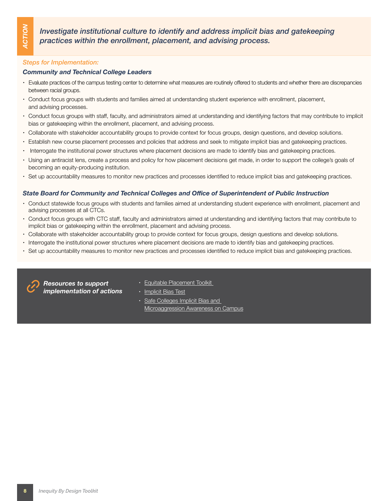*Investigate institutional culture to identify and address implicit bias and gatekeeping practices within the enrollment, placement, and advising process.* **Example 16 and 16 and 16 and 16 and 16 and 16 and 16 and 16 and 16 and 16 and 16 and 16 and 16 and 16 and 16 and 16 and 16 and 16 and 16 and 16 and 16 and 16 and 16 and 16 and 16 and 16 and 16 and 16 and 16 and 16 and 16** 

#### *Steps for Implementation:*

#### *Community and Technical College Leaders*

- Evaluate practices of the campus testing center to determine what measures are routinely offered to students and whether there are discrepancies between racial groups.
- Conduct focus groups with students and families aimed at understanding student experience with enrollment, placement, and advising processes.
- Conduct focus groups with staff, faculty, and administrators aimed at understanding and identifying factors that may contribute to implicit bias or gatekeeping within the enrollment, placement, and advising process.
- Collaborate with stakeholder accountability groups to provide context for focus groups, design questions, and develop solutions.
- Establish new course placement processes and policies that address and seek to mitigate implicit bias and gatekeeping practices.
- Interrogate the institutional power structures where placement decisions are made to identify bias and gatekeeping practices.
- Using an antiracist lens, create a process and policy for how placement decisions get made, in order to support the college's goals of becoming an equity-producing institution.
- Set up accountability measures to monitor new practices and processes identified to reduce implicit bias and gatekeeping practices.

#### *State Board for Community and Technical Colleges and Office of Superintendent of Public Instruction*

- Conduct statewide focus groups with students and families aimed at understanding student experience with enrollment, placement and advising processes at all CTCs.
- Conduct focus groups with CTC staff, faculty and administrators aimed at understanding and identifying factors that may contribute to implicit bias or gatekeeping within the enrollment, placement and advising process.
- Collaborate with stakeholder accountability group to provide context for focus groups, design questions and develop solutions.
- Interrogate the institutional power structures where placement decisions are made to identify bias and gatekeeping practices.
- 



*Resources to support implementation of actions*

- [Equitable Placement Toolkit](https://equitableplacementtoolkit.cccco.edu/data/)
- [Implicit Bias Test](https://implicit.harvard.edu/implicit/)
- [Safe Colleges Implicit Bias and](https://www.safecolleges.com/implicit-bias-and-microaggressions-awareness-on-campus/)  [Microaggression Awareness on Campus](https://www.safecolleges.com/implicit-bias-and-microaggressions-awareness-on-campus/)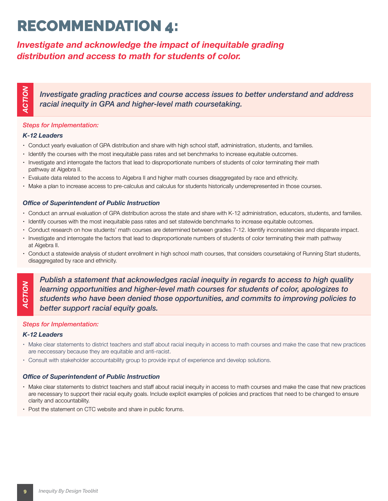## RECOMMENDATION 4:

### *Investigate and acknowledge the impact of inequitable grading distribution and access to math for students of color.*

*Investigate grading practices and course access issues to better understand and address racial inequity in GPA and higher-level math coursetaking.*

#### *Steps for Implementation:*

#### *K-12 Leaders*

- Conduct yearly evaluation of GPA distribution and share with high school staff, administration, students, and families.
- Identify the courses with the most inequitable pass rates and set benchmarks to increase equitable outcomes.
- Investigate and interrogate the factors that lead to disproportionate numbers of students of color terminating their math pathway at Algebra II.
- Evaluate data related to the access to Algebra II and higher math courses disaggregated by race and ethnicity.
- Make a plan to increase access to pre-calculus and calculus for students historically underrepresented in those courses.

#### *Office of Superintendent of Public Instruction*

- Conduct an annual evaluation of GPA distribution across the state and share with K-12 administration, educators, students, and families.
- Identify courses with the most inequitable pass rates and set statewide benchmarks to increase equitable outcomes.
- Conduct research on how students' math courses are determined between grades 7-12. Identify inconsistencies and disparate impact.
- Investigate and interrogate the factors that lead to disproportionate numbers of students of color terminating their math pathway at Algebra II.
- Conduct a statewide analysis of student enrollment in high school math courses, that considers coursetaking of Running Start students, disaggregated by race and ethnicity.

*Publish a statement that acknowledges racial inequity in regards to access to high quality learning opportunities and higher-level math courses for students of color, apologizes to students who have been denied those opportunities, and commits to improving policies to better support racial equity goals.* **Example the statement of FACT CONDUCTS (THE STATE ANTIFICAT CONDUCTS CHOONER CONDUCTS CHOONER CONDUCTS CHOONER CHONGULATION CONDUCTS CHOONER CHONGULATION (FOR CHOONER CHOONER CHOONER CHOONER CHOONER CHOONER CHOONER CHOONE** 

#### *Steps for Implementation:*

#### *K-12 Leaders*

- Make clear statements to district teachers and staff about racial inequity in access to math courses and make the case that new practices are neccessary because they are equitable and anti-racist.
- Consult with stakeholder accountability group to provide input of experience and develop solutions.

#### *Office of Superintendent of Public Instruction*

- Make clear statements to district teachers and staff about racial inequity in access to math courses and make the case that new practices are necessary to support their racial equity goals. Include explicit examples of policies and practices that need to be changed to ensure clarity and accountability.
-